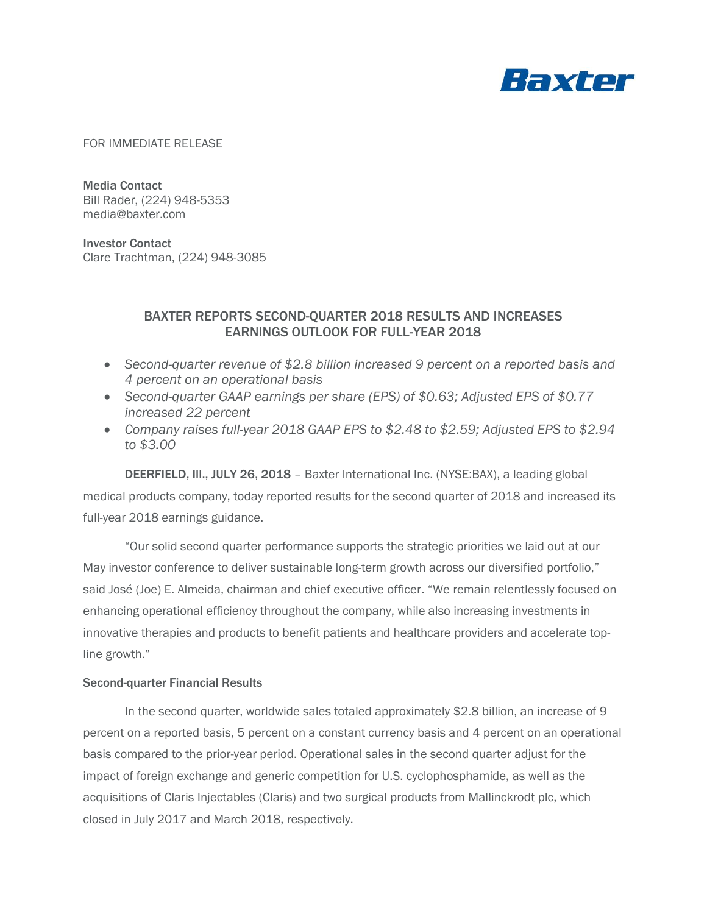

#### FOR IMMEDIATE RELEASE

Media Contact Bill Rader, (224) 948-5353 media@baxter.com

Investor Contact Clare Trachtman, (224) 948-3085

# BAXTER REPORTS SECOND-QUARTER 2018 RESULTS AND INCREASES EARNINGS OUTLOOK FOR FULL-YEAR 2018

- *Second-quarter revenue of \$2.8 billion increased 9 percent on a reported basis and 4 percent on an operational basis*
- *Second-quarter GAAP earnings per share (EPS) of \$0.63; Adjusted EPS of \$0.77 increased 22 percent*
- *Company raises full-year 2018 GAAP EPS to \$2.48 to \$2.59; Adjusted EPS to \$2.94 to \$3.00*

DEERFIELD, Ill., JULY 26, 2018 – Baxter International Inc. (NYSE:BAX), a leading global medical products company, today reported results for the second quarter of 2018 and increased its full-year 2018 earnings guidance.

"Our solid second quarter performance supports the strategic priorities we laid out at our May investor conference to deliver sustainable long-term growth across our diversified portfolio," said José (Joe) E. Almeida, chairman and chief executive officer. "We remain relentlessly focused on enhancing operational efficiency throughout the company, while also increasing investments in innovative therapies and products to benefit patients and healthcare providers and accelerate topline growth."

#### Second-quarter Financial Results

In the second quarter, worldwide sales totaled approximately \$2.8 billion, an increase of 9 percent on a reported basis, 5 percent on a constant currency basis and 4 percent on an operational basis compared to the prior-year period. Operational sales in the second quarter adjust for the impact of foreign exchange and generic competition for U.S. cyclophosphamide, as well as the acquisitions of Claris Injectables (Claris) and two surgical products from Mallinckrodt plc, which closed in July 2017 and March 2018, respectively.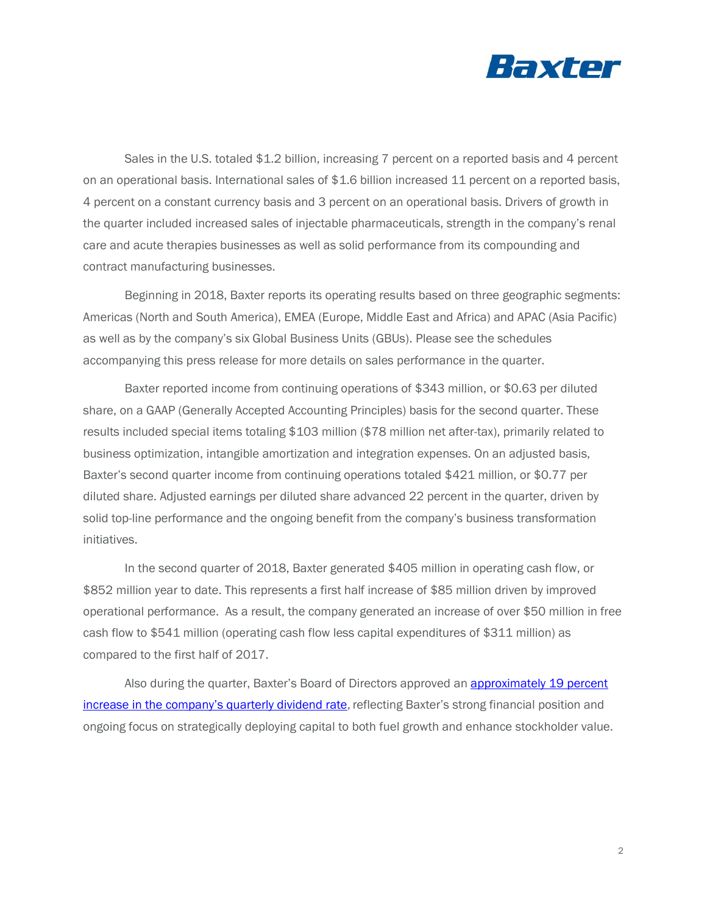

Sales in the U.S. totaled \$1.2 billion, increasing 7 percent on a reported basis and 4 percent on an operational basis. International sales of \$1.6 billion increased 11 percent on a reported basis, 4 percent on a constant currency basis and 3 percent on an operational basis. Drivers of growth in the quarter included increased sales of injectable pharmaceuticals, strength in the company's renal care and acute therapies businesses as well as solid performance from its compounding and contract manufacturing businesses.

Beginning in 2018, Baxter reports its operating results based on three geographic segments: Americas (North and South America), EMEA (Europe, Middle East and Africa) and APAC (Asia Pacific) as well as by the company's six Global Business Units (GBUs). Please see the schedules accompanying this press release for more details on sales performance in the quarter.

Baxter reported income from continuing operations of \$343 million, or \$0.63 per diluted share, on a GAAP (Generally Accepted Accounting Principles) basis for the second quarter. These results included special items totaling \$103 million (\$78 million net after-tax), primarily related to business optimization, intangible amortization and integration expenses. On an adjusted basis, Baxter's second quarter income from continuing operations totaled \$421 million, or \$0.77 per diluted share. Adjusted earnings per diluted share advanced 22 percent in the quarter, driven by solid top-line performance and the ongoing benefit from the company's business transformation initiatives.

In the second quarter of 2018, Baxter generated \$405 million in operating cash flow, or \$852 million year to date. This represents a first half increase of \$85 million driven by improved operational performance. As a result, the company generated an increase of over \$50 million in free cash flow to \$541 million (operating cash flow less capital expenditures of \$311 million) as compared to the first half of 2017.

Also during the quarter, Baxter's Board of Directors approved an **approximately 19 percent** [increase in the company's quarterly dividend rate](https://www.baxter.com/baxter-newsroom/baxter-declares-dividend-and-announces-quarterly-dividend-increase), reflecting Baxter's strong financial position and ongoing focus on strategically deploying capital to both fuel growth and enhance stockholder value.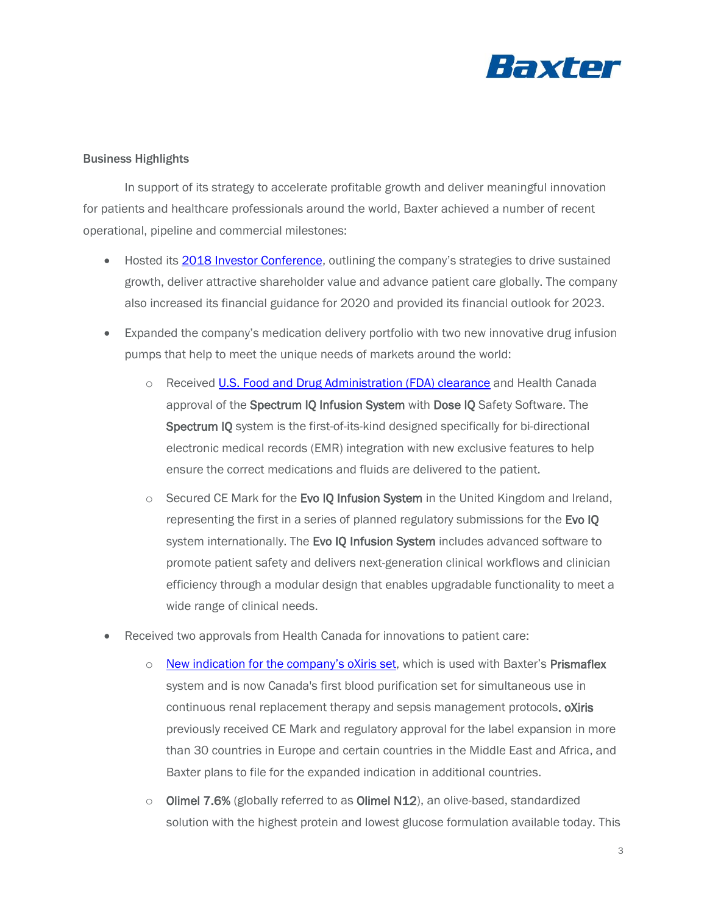

## Business Highlights

In support of its strategy to accelerate profitable growth and deliver meaningful innovation for patients and healthcare professionals around the world, Baxter achieved a number of recent operational, pipeline and commercial milestones:

- Hosted its **2018 Investor Conference**, outlining the company's strategies to drive sustained growth, deliver attractive shareholder value and advance patient care globally. The company also increased its financial guidance for 2020 and provided its financial outlook for 2023.
- Expanded the company's medication delivery portfolio with two new innovative drug infusion pumps that help to meet the unique needs of markets around the world:
	- o Received [U.S. Food and Drug Administration \(FDA\) clearance](https://www.baxter.com/baxter-newsroom/baxter-announces-us-fda-clearance-new-spectrum-iq-infusion-system) and Health Canada approval of the Spectrum IQ Infusion System with Dose IQ Safety Software. The Spectrum IQ system is the first-of-its-kind designed specifically for bi-directional electronic medical records (EMR) integration with new exclusive features to help ensure the correct medications and fluids are delivered to the patient.
	- $\circ$  Secured CE Mark for the Evo IQ Infusion System in the United Kingdom and Ireland, representing the first in a series of planned regulatory submissions for the Evo IQ system internationally. The Evo IQ Infusion System includes advanced software to promote patient safety and delivers next-generation clinical workflows and clinician efficiency through a modular design that enables upgradable functionality to meet a wide range of clinical needs.
- Received two approvals from Health Canada for innovations to patient care:
	- $\circ$  New indication [for the company's o](http://www.baxter.ca/en_CA/news-media/newsroom/press-releases/2017/oXiris-approval.page)Xiris set, which is used with Baxter's Prismaflex system and is now Canada's first blood purification set for simultaneous use in continuous renal replacement therapy and sepsis management protocols. **oXiris** previously received CE Mark and regulatory approval for the label expansion in more than 30 countries in Europe and certain countries in the Middle East and Africa, and Baxter plans to file for the expanded indication in additional countries.
	- $\circ$  Olimel 7.6% (globally referred to as Olimel N12), an olive-based, standardized solution with the highest protein and lowest glucose formulation available today. This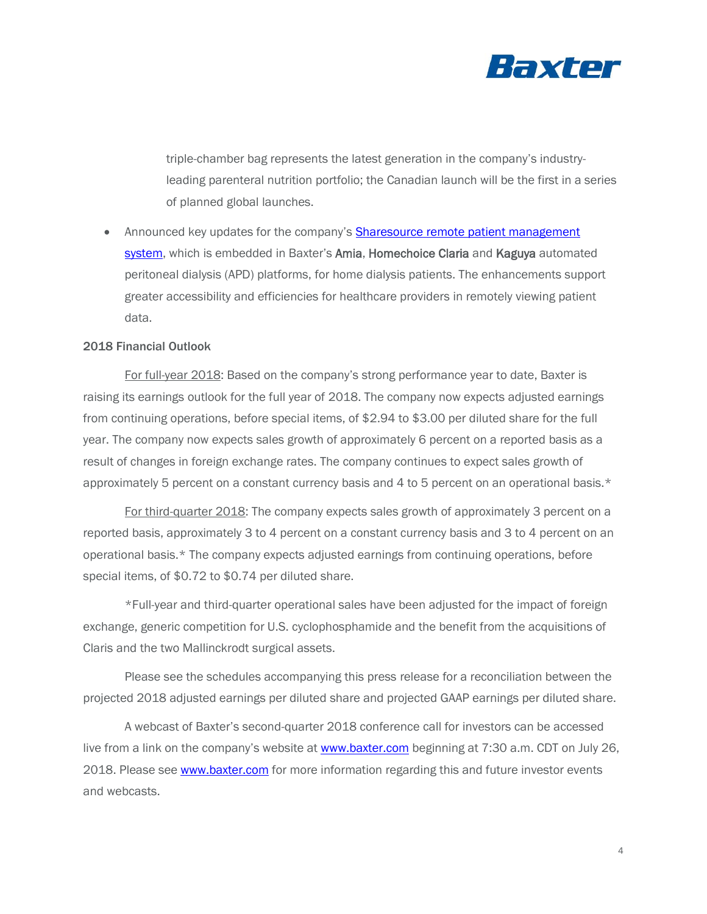

triple-chamber bag represents the latest generation in the company's industryleading parenteral nutrition portfolio; the Canadian launch will be the first in a series of planned global launches.

• Announced key updates for the company's **Sharesource remote patient management** [system,](https://www.baxter.com/baxter-newsroom/baxter-unveiled-updates-sharesource-remote-patient-management-platform-home) which is embedded in Baxter's Amia, Homechoice Claria and Kaguya automated peritoneal dialysis (APD) platforms, for home dialysis patients. The enhancements support greater accessibility and efficiencies for healthcare providers in remotely viewing patient data.

## 2018 Financial Outlook

For full-year 2018: Based on the company's strong performance year to date, Baxter is raising its earnings outlook for the full year of 2018. The company now expects adjusted earnings from continuing operations, before special items, of \$2.94 to \$3.00 per diluted share for the full year. The company now expects sales growth of approximately 6 percent on a reported basis as a result of changes in foreign exchange rates. The company continues to expect sales growth of approximately 5 percent on a constant currency basis and 4 to 5 percent on an operational basis.\*

For third-quarter 2018: The company expects sales growth of approximately 3 percent on a reported basis, approximately 3 to 4 percent on a constant currency basis and 3 to 4 percent on an operational basis.\* The company expects adjusted earnings from continuing operations, before special items, of \$0.72 to \$0.74 per diluted share.

\*Full-year and third-quarter operational sales have been adjusted for the impact of foreign exchange, generic competition for U.S. cyclophosphamide and the benefit from the acquisitions of Claris and the two Mallinckrodt surgical assets.

Please see the schedules accompanying this press release for a reconciliation between the projected 2018 adjusted earnings per diluted share and projected GAAP earnings per diluted share.

A webcast of Baxter's second-quarter 2018 conference call for investors can be accessed live from a link on the company's website at [www.baxter.com](https://investor.baxter.com/investors/events-and-news/default.aspx) beginning at 7:30 a.m. CDT on July 26, 2018. Please see [www.baxter.com](https://investor.baxter.com/investors/events-and-news/default.aspx) for more information regarding this and future investor events and webcasts.